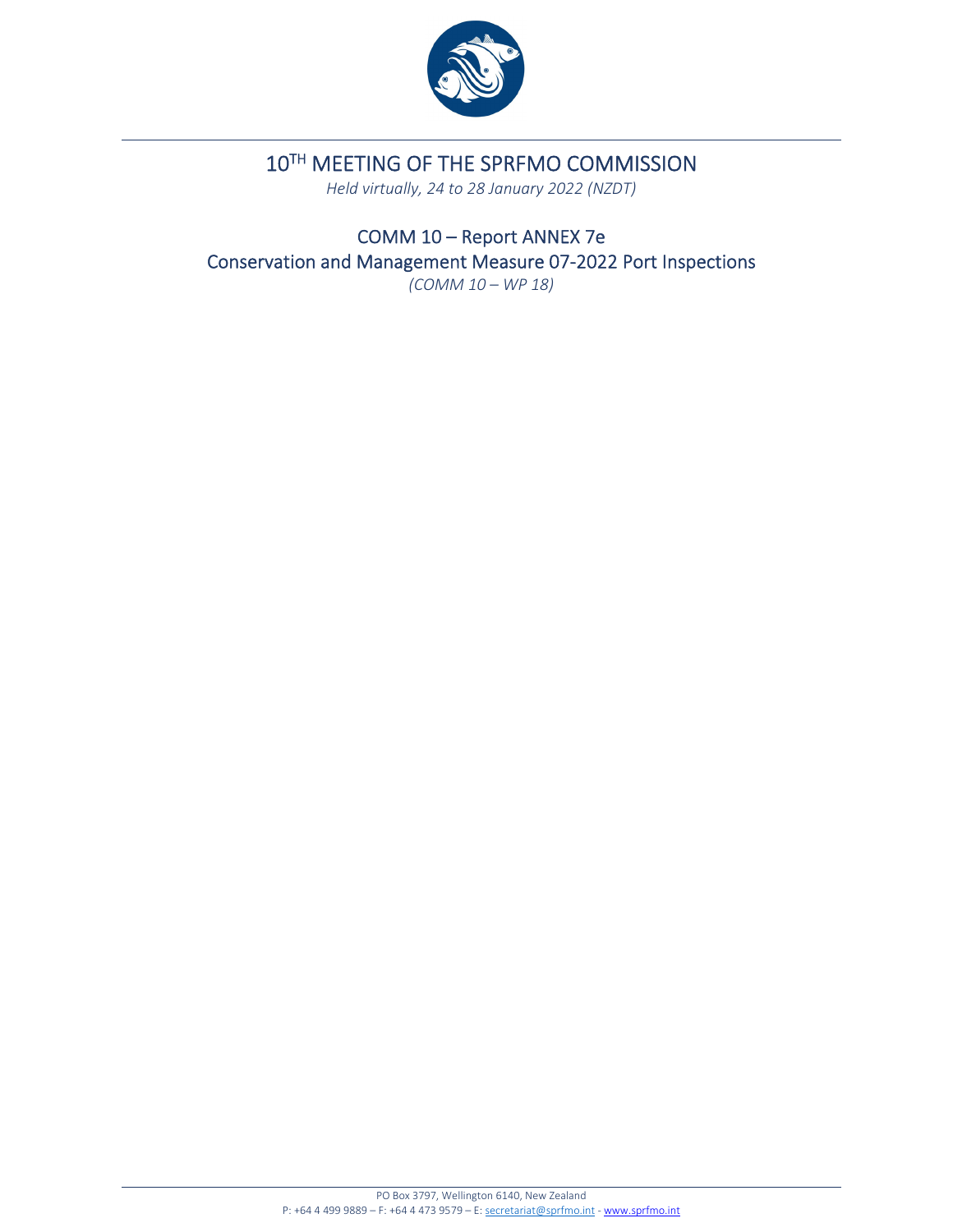

# 10TH MEETING OF THE SPRFMO COMMISSION

*Held virtually, 24 to 28 January 2022 (NZDT)*

COMM 10 – Report ANNEX 7e Conservation and Management Measure 07‐2022 Port Inspections *(COMM 10 – WP 18)*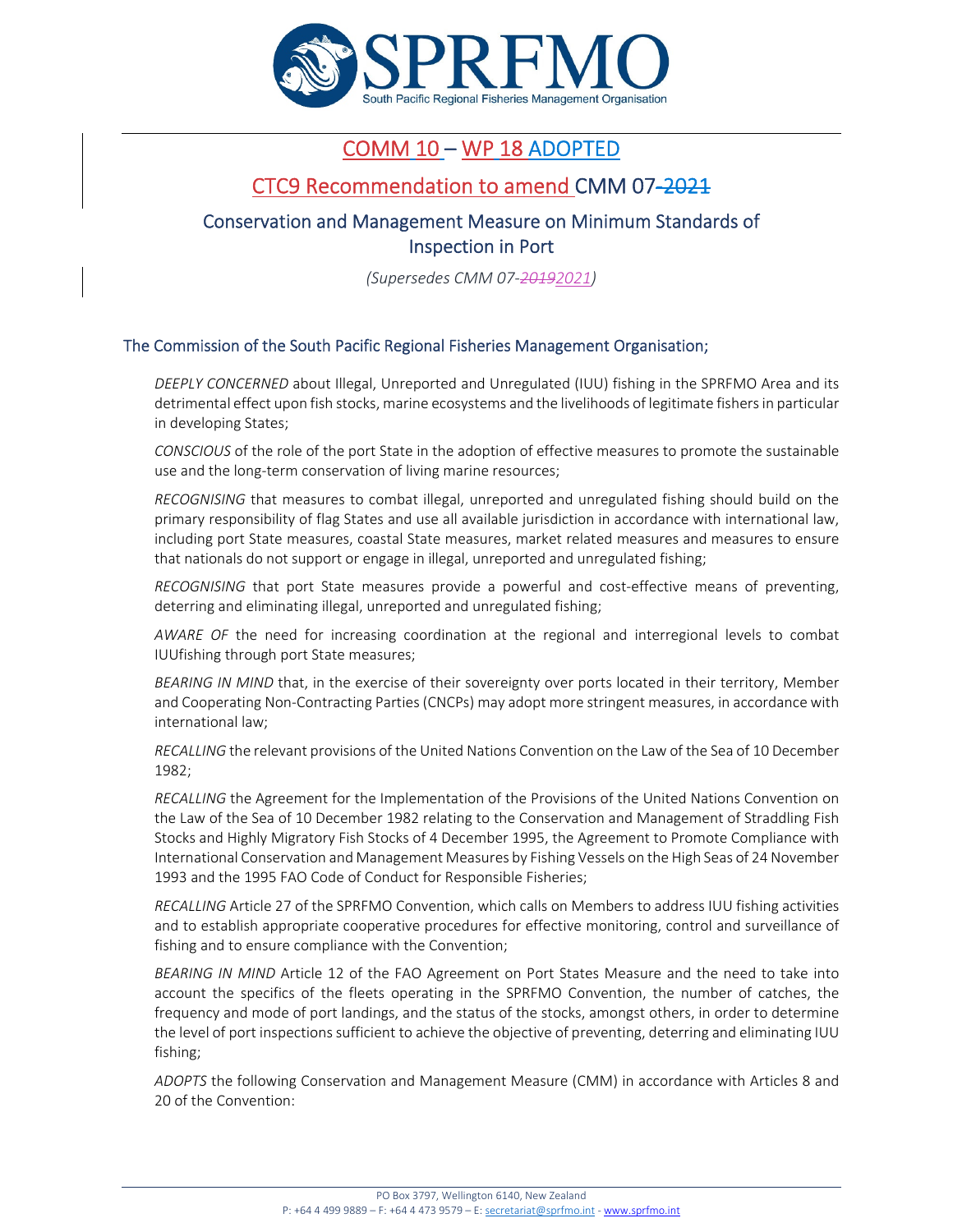

# COMM 10 – WP 18 ADOPTED

## CTC9 Recommendation to amend CMM 07‐2021

## Conservation and Management Measure on Minimum Standards of Inspection in Port

*(Supersedes CMM 07‐20192021)*

#### The Commission of the South Pacific Regional Fisheries Management Organisation;

*DEEPLY CONCERNED* about Illegal, Unreported and Unregulated (IUU) fishing in the SPRFMO Area and its detrimental effect upon fish stocks, marine ecosystems and the livelihoods of legitimate fishersin particular in developing States;

*CONSCIOUS* of the role of the port State in the adoption of effective measures to promote the sustainable use and the long-term conservation of living marine resources;

*RECOGNISING* that measures to combat illegal, unreported and unregulated fishing should build on the primary responsibility of flag States and use all available jurisdiction in accordance with international law, including port State measures, coastal State measures, market related measures and measures to ensure that nationals do not support or engage in illegal, unreported and unregulated fishing;

*RECOGNISING* that port State measures provide a powerful and cost‐effective means of preventing, deterring and eliminating illegal, unreported and unregulated fishing;

*AWARE OF* the need for increasing coordination at the regional and interregional levels to combat IUUfishing through port State measures;

*BEARING IN MIND* that, in the exercise of their sovereignty over ports located in their territory, Member and Cooperating Non‐Contracting Parties(CNCPs) may adopt more stringent measures, in accordance with international law;

*RECALLING* the relevant provisions of the United Nations Convention on the Law of the Sea of 10 December 1982;

*RECALLING* the Agreement for the Implementation of the Provisions of the United Nations Convention on the Law of the Sea of 10 December 1982 relating to the Conservation and Management of Straddling Fish Stocks and Highly Migratory Fish Stocks of 4 December 1995, the Agreement to Promote Compliance with International Conservation and Management Measures by Fishing Vessels on the High Seas of 24 November 1993 and the 1995 FAO Code of Conduct for Responsible Fisheries;

*RECALLING* Article 27 of the SPRFMO Convention, which calls on Members to address IUU fishing activities and to establish appropriate cooperative procedures for effective monitoring, control and surveillance of fishing and to ensure compliance with the Convention;

*BEARING IN MIND* Article 12 of the FAO Agreement on Port States Measure and the need to take into account the specifics of the fleets operating in the SPRFMO Convention, the number of catches, the frequency and mode of port landings, and the status of the stocks, amongst others, in order to determine the level of port inspections sufficient to achieve the objective of preventing, deterring and eliminating IUU fishing;

*ADOPTS* the following Conservation and Management Measure (CMM) in accordance with Articles 8 and 20 of the Convention: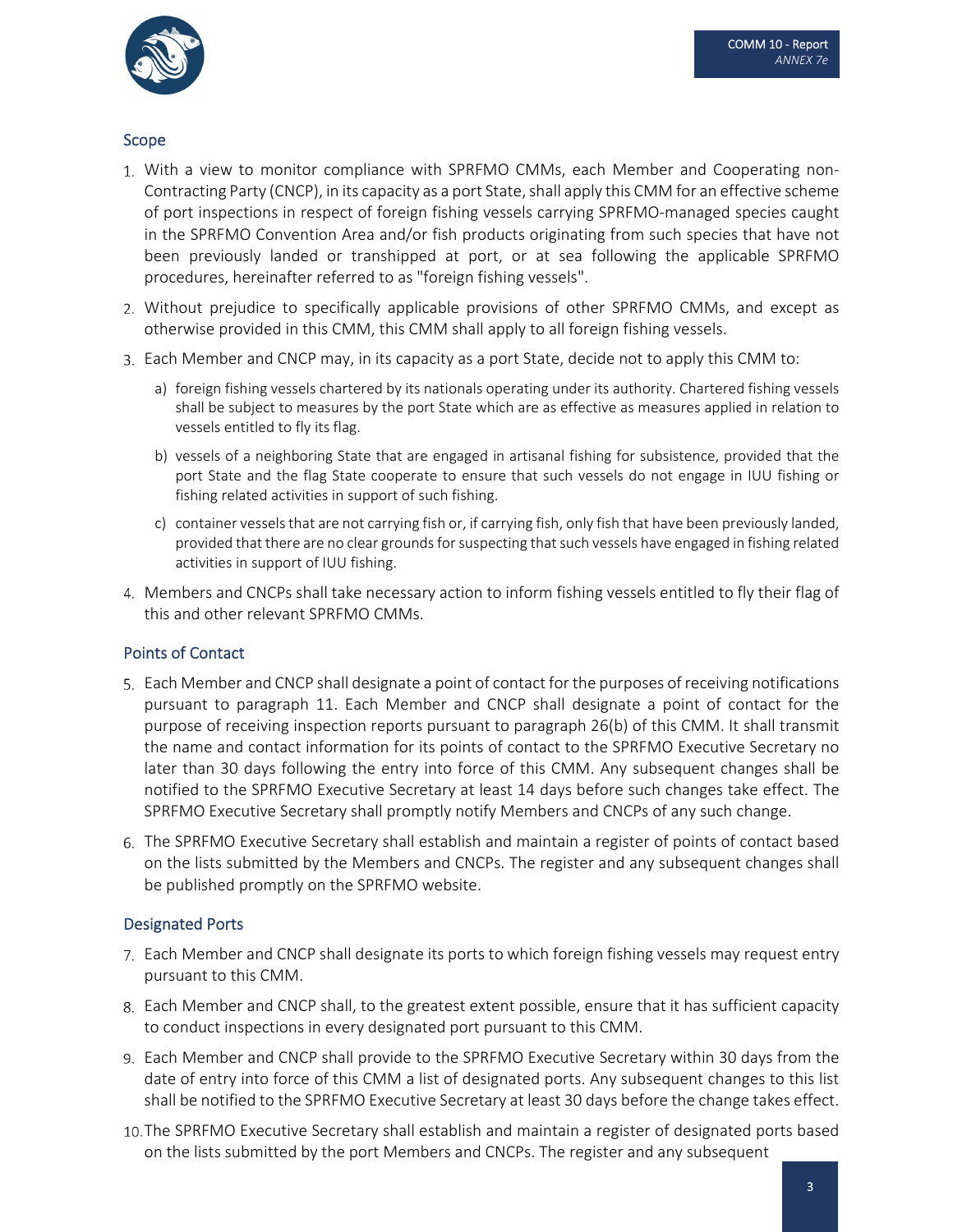

#### Scope

- With a view to monitor compliance with SPRFMO CMMs, each Member and Cooperating non‐ Contracting Party (CNCP), in its capacity as a port State, shall apply this CMM for an effective scheme of port inspections in respect of foreign fishing vessels carrying SPRFMO‐managed species caught in the SPRFMO Convention Area and/or fish products originating from such species that have not been previously landed or transhipped at port, or at sea following the applicable SPRFMO procedures, hereinafter referred to as "foreign fishing vessels".
- Without prejudice to specifically applicable provisions of other SPRFMO CMMs, and except as otherwise provided in this CMM, this CMM shall apply to all foreign fishing vessels.
- Each Member and CNCP may, in its capacity as a port State, decide not to apply this CMM to:
	- a) foreign fishing vessels chartered by its nationals operating under its authority. Chartered fishing vessels shall be subject to measures by the port State which are as effective as measures applied in relation to vessels entitled to fly its flag.
	- b) vessels of a neighboring State that are engaged in artisanal fishing for subsistence, provided that the port State and the flag State cooperate to ensure that such vessels do not engage in IUU fishing or fishing related activities in support of such fishing.
	- c) container vesselsthat are not carrying fish or, if carrying fish, only fish that have been previously landed, provided that there are no clear grounds for suspecting that such vessels have engaged in fishing related activities in support of IUU fishing.
- Members and CNCPs shall take necessary action to inform fishing vessels entitled to fly their flag of this and other relevant SPRFMO CMMs.

#### Points of Contact

- Each Member and CNCP shall designate a point of contact for the purposes of receiving notifications pursuant to paragraph 11. Each Member and CNCP shall designate a point of contact for the purpose of receiving inspection reports pursuant to paragraph 26(b) of this CMM. It shall transmit the name and contact information for its points of contact to the SPRFMO Executive Secretary no later than 30 days following the entry into force of this CMM. Any subsequent changes shall be notified to the SPRFMO Executive Secretary at least 14 days before such changes take effect. The SPRFMO Executive Secretary shall promptly notify Members and CNCPs of any such change.
- The SPRFMO Executive Secretary shall establish and maintain a register of points of contact based on the lists submitted by the Members and CNCPs. The register and any subsequent changes shall be published promptly on the SPRFMO website.

#### Designated Ports

- Each Member and CNCP shall designate its ports to which foreign fishing vessels may request entry pursuant to this CMM.
- Each Member and CNCP shall, to the greatest extent possible, ensure that it has sufficient capacity to conduct inspections in every designated port pursuant to this CMM.
- Each Member and CNCP shall provide to the SPRFMO Executive Secretary within 30 days from the date of entry into force of this CMM a list of designated ports. Any subsequent changes to this list shall be notified to the SPRFMO Executive Secretary at least 30 days before the change takes effect.
- The SPRFMO Executive Secretary shall establish and maintain a register of designated ports based on the lists submitted by the port Members and CNCPs. The register and any subsequent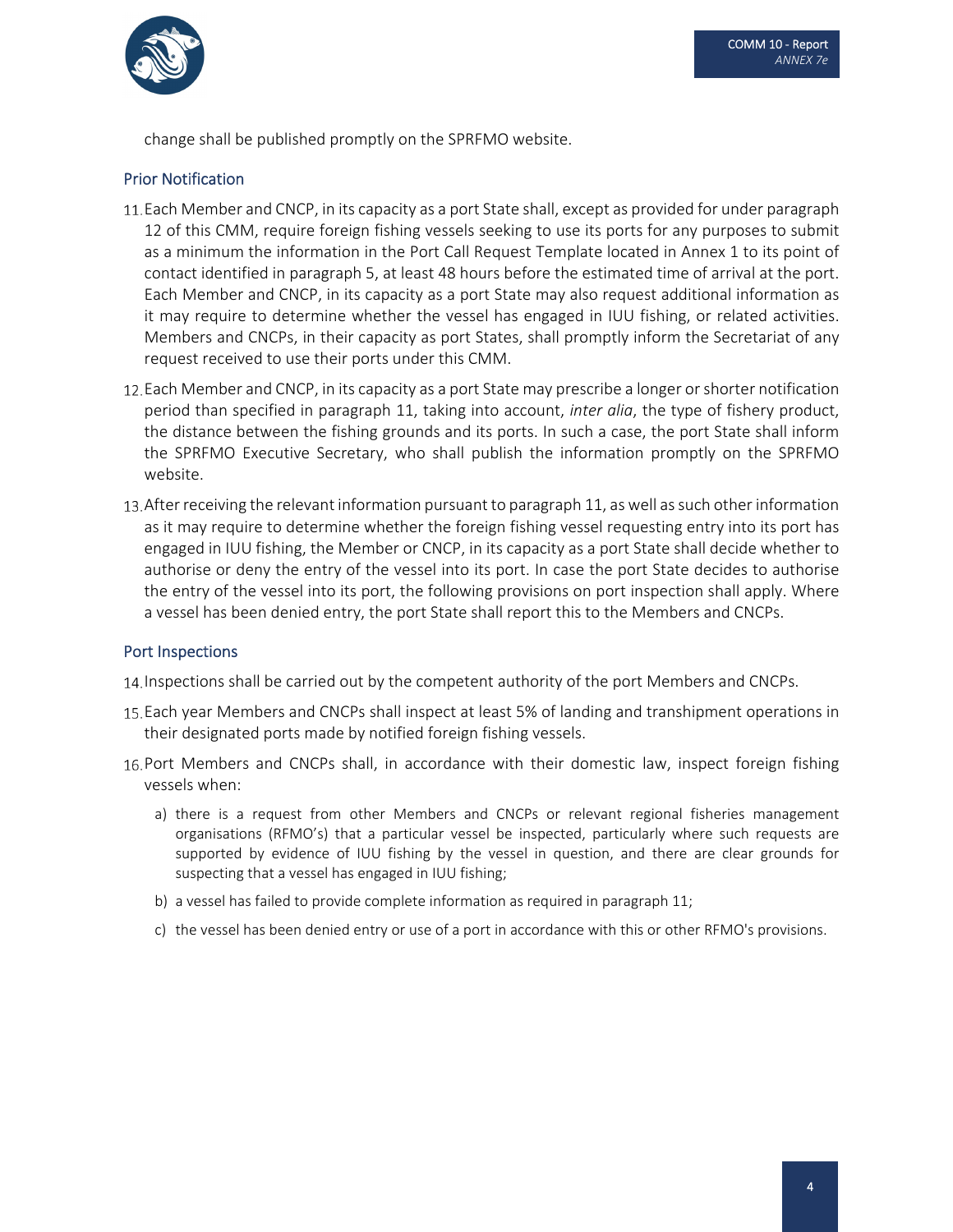

change shall be published promptly on the SPRFMO website.

#### Prior Notification

- 11. Each Member and CNCP, in its capacity as a port State shall, except as provided for under paragraph 12 of this CMM, require foreign fishing vessels seeking to use its ports for any purposes to submit as a minimum the information in the Port Call Request Template located in Annex 1 to its point of contact identified in paragraph 5, at least 48 hours before the estimated time of arrival at the port. Each Member and CNCP, in its capacity as a port State may also request additional information as it may require to determine whether the vessel has engaged in IUU fishing, or related activities. Members and CNCPs, in their capacity as port States, shall promptly inform the Secretariat of any request received to use their ports under this CMM.
- 12. Each Member and CNCP, in its capacity as a port State may prescribe a longer or shorter notification period than specified in paragraph 11, taking into account, *inter alia*, the type of fishery product, the distance between the fishing grounds and its ports. In such a case, the port State shall inform the SPRFMO Executive Secretary, who shall publish the information promptly on the SPRFMO website.
- 13. After receiving the relevant information pursuant to paragraph 11, as well as such other information as it may require to determine whether the foreign fishing vessel requesting entry into its port has engaged in IUU fishing, the Member or CNCP, in its capacity as a port State shall decide whether to authorise or deny the entry of the vessel into its port. In case the port State decides to authorise the entry of the vessel into its port, the following provisions on port inspection shall apply. Where a vessel has been denied entry, the port State shall report this to the Members and CNCPs.

#### Port Inspections

- 14. Inspections shall be carried out by the competent authority of the port Members and CNCPs.
- Each year Members and CNCPs shall inspect at least 5% of landing and transhipment operations in their designated ports made by notified foreign fishing vessels.
- 16. Port Members and CNCPs shall, in accordance with their domestic law, inspect foreign fishing vessels when:
	- a) there is a request from other Members and CNCPs or relevant regional fisheries management organisations (RFMO's) that a particular vessel be inspected, particularly where such requests are supported by evidence of IUU fishing by the vessel in question, and there are clear grounds for suspecting that a vessel has engaged in IUU fishing;
	- b) a vessel has failed to provide complete information as required in paragraph 11;
	- c) the vessel has been denied entry or use of a port in accordance with this or other RFMO's provisions.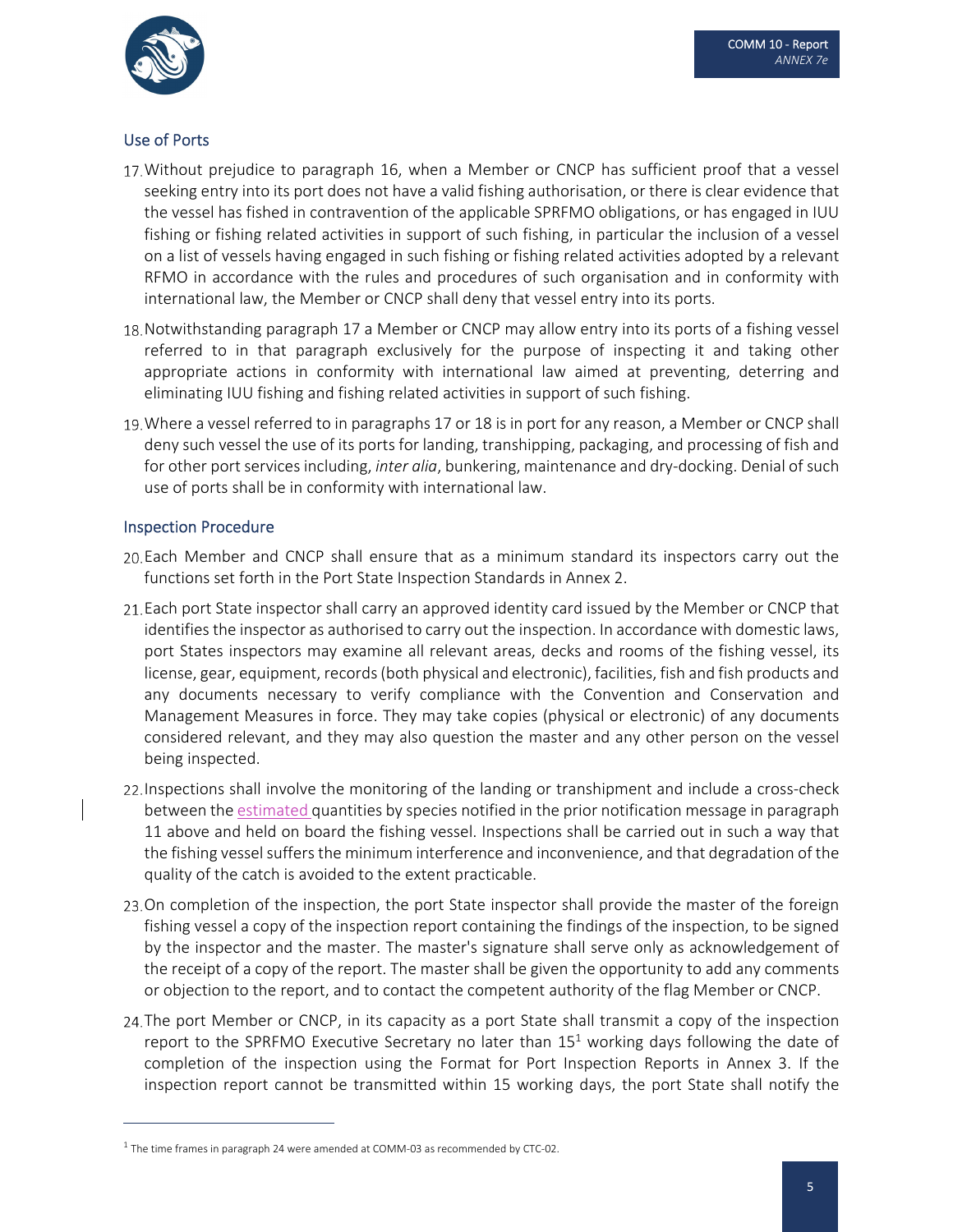

### Use of Ports

- Without prejudice to paragraph 16, when a Member or CNCP has sufficient proof that a vessel seeking entry into its port does not have a valid fishing authorisation, or there is clear evidence that the vessel has fished in contravention of the applicable SPRFMO obligations, or has engaged in IUU fishing or fishing related activities in support of such fishing, in particular the inclusion of a vessel on a list of vessels having engaged in such fishing or fishing related activities adopted by a relevant RFMO in accordance with the rules and procedures of such organisation and in conformity with international law, the Member or CNCP shall deny that vessel entry into its ports.
- 18. Notwithstanding paragraph 17 a Member or CNCP may allow entry into its ports of a fishing vessel referred to in that paragraph exclusively for the purpose of inspecting it and taking other appropriate actions in conformity with international law aimed at preventing, deterring and eliminating IUU fishing and fishing related activities in support of such fishing.
- Where a vessel referred to in paragraphs 17 or 18 is in port for any reason, a Member or CNCP shall deny such vessel the use of its ports for landing, transhipping, packaging, and processing of fish and for other port services including, *inter alia*, bunkering, maintenance and dry‐docking. Denial of such use of ports shall be in conformity with international law.

#### Inspection Procedure

- Each Member and CNCP shall ensure that as a minimum standard its inspectors carry out the functions set forth in the Port State Inspection Standards in Annex 2.
- 21. Each port State inspector shall carry an approved identity card issued by the Member or CNCP that identifies the inspector as authorised to carry out the inspection. In accordance with domestic laws, port States inspectors may examine all relevant areas, decks and rooms of the fishing vessel, its license, gear, equipment, records(both physical and electronic), facilities, fish and fish products and any documents necessary to verify compliance with the Convention and Conservation and Management Measures in force. They may take copies (physical or electronic) of any documents considered relevant, and they may also question the master and any other person on the vessel being inspected.
- 22. Inspections shall involve the monitoring of the landing or transhipment and include a cross-check between the estimated quantities by species notified in the prior notification message in paragraph 11 above and held on board the fishing vessel. Inspections shall be carried out in such a way that the fishing vessel suffers the minimum interference and inconvenience, and that degradation of the quality of the catch is avoided to the extent practicable.
- 23. On completion of the inspection, the port State inspector shall provide the master of the foreign fishing vessel a copy of the inspection report containing the findings of the inspection, to be signed by the inspector and the master. The master's signature shall serve only as acknowledgement of the receipt of a copy of the report. The master shall be given the opportunity to add any comments or objection to the report, and to contact the competent authority of the flag Member or CNCP.
- 24. The port Member or CNCP, in its capacity as a port State shall transmit a copy of the inspection report to the SPRFMO Executive Secretary no later than  $15<sup>1</sup>$  working days following the date of completion of the inspection using the Format for Port Inspection Reports in Annex 3. If the inspection report cannot be transmitted within 15 working days, the port State shall notify the

 $1$  The time frames in paragraph 24 were amended at COMM-03 as recommended by CTC-02.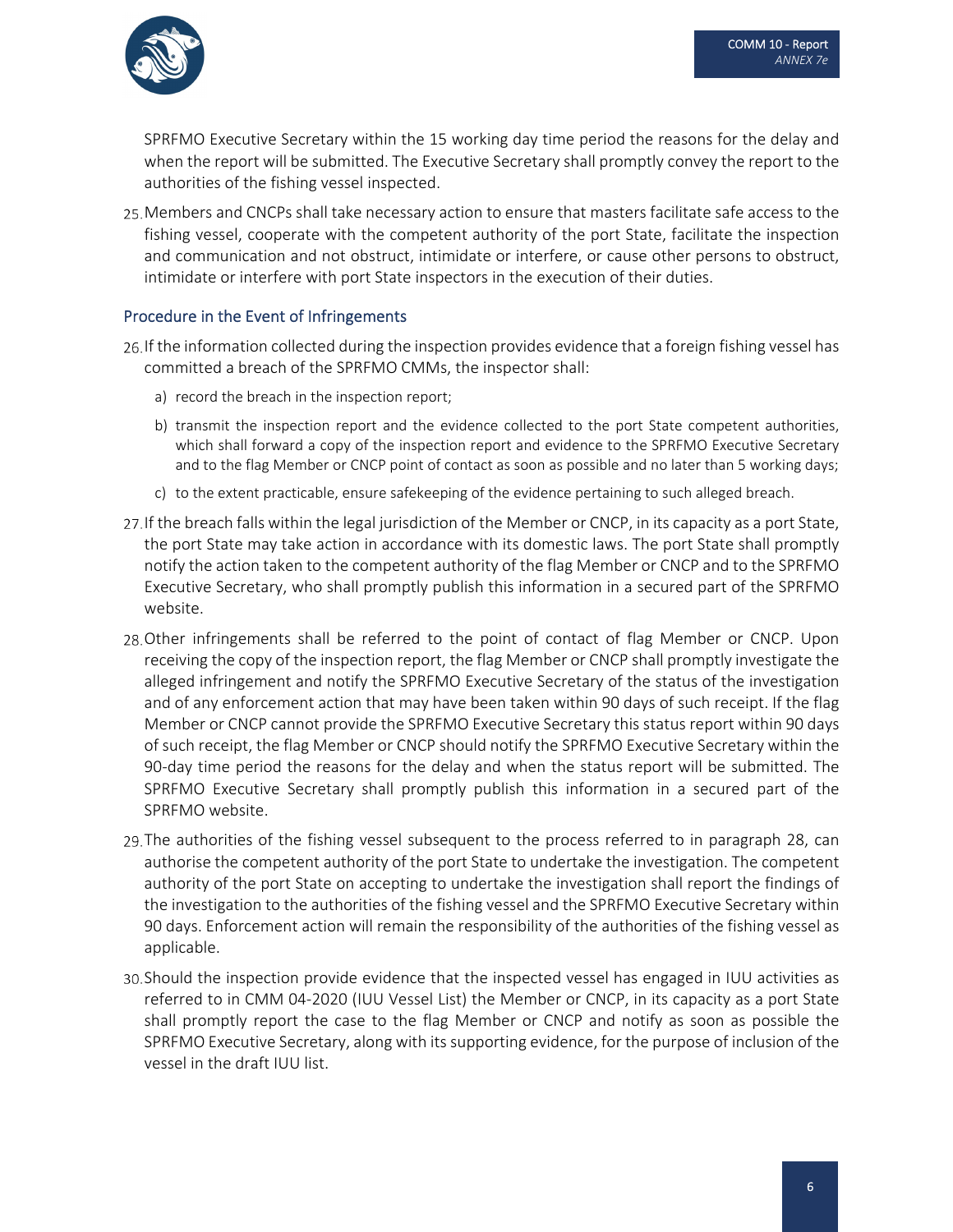

SPRFMO Executive Secretary within the 15 working day time period the reasons for the delay and when the report will be submitted. The Executive Secretary shall promptly convey the report to the authorities of the fishing vessel inspected.

25. Members and CNCPs shall take necessary action to ensure that masters facilitate safe access to the fishing vessel, cooperate with the competent authority of the port State, facilitate the inspection and communication and not obstruct, intimidate or interfere, or cause other persons to obstruct, intimidate or interfere with port State inspectors in the execution of their duties.

#### Procedure in the Event of Infringements

- 26. If the information collected during the inspection provides evidence that a foreign fishing vessel has committed a breach of the SPRFMO CMMs, the inspector shall:
	- a) record the breach in the inspection report;
	- b) transmit the inspection report and the evidence collected to the port State competent authorities, which shall forward a copy of the inspection report and evidence to the SPRFMO Executive Secretary and to the flag Member or CNCP point of contact as soon as possible and no later than 5 working days;
	- c) to the extent practicable, ensure safekeeping of the evidence pertaining to such alleged breach.
- 27. If the breach falls within the legal jurisdiction of the Member or CNCP, in its capacity as a port State, the port State may take action in accordance with its domestic laws. The port State shall promptly notify the action taken to the competent authority of the flag Member or CNCP and to the SPRFMO Executive Secretary, who shall promptly publish this information in a secured part of the SPRFMO website.
- 28. Other infringements shall be referred to the point of contact of flag Member or CNCP. Upon receiving the copy of the inspection report, the flag Member or CNCP shall promptly investigate the alleged infringement and notify the SPRFMO Executive Secretary of the status of the investigation and of any enforcement action that may have been taken within 90 days of such receipt. If the flag Member or CNCP cannot provide the SPRFMO Executive Secretary this status report within 90 days of such receipt, the flag Member or CNCP should notify the SPRFMO Executive Secretary within the 90-day time period the reasons for the delay and when the status report will be submitted. The SPRFMO Executive Secretary shall promptly publish this information in a secured part of the SPRFMO website.
- The authorities of the fishing vessel subsequent to the process referred to in paragraph 28, can authorise the competent authority of the port State to undertake the investigation. The competent authority of the port State on accepting to undertake the investigation shall report the findings of the investigation to the authorities of the fishing vessel and the SPRFMO Executive Secretary within 90 days. Enforcement action will remain the responsibility of the authorities of the fishing vessel as applicable.
- Should the inspection provide evidence that the inspected vessel has engaged in IUU activities as referred to in CMM 04‐2020 (IUU Vessel List) the Member or CNCP, in its capacity as a port State shall promptly report the case to the flag Member or CNCP and notify as soon as possible the SPRFMO Executive Secretary, along with its supporting evidence, for the purpose of inclusion of the vessel in the draft IUU list.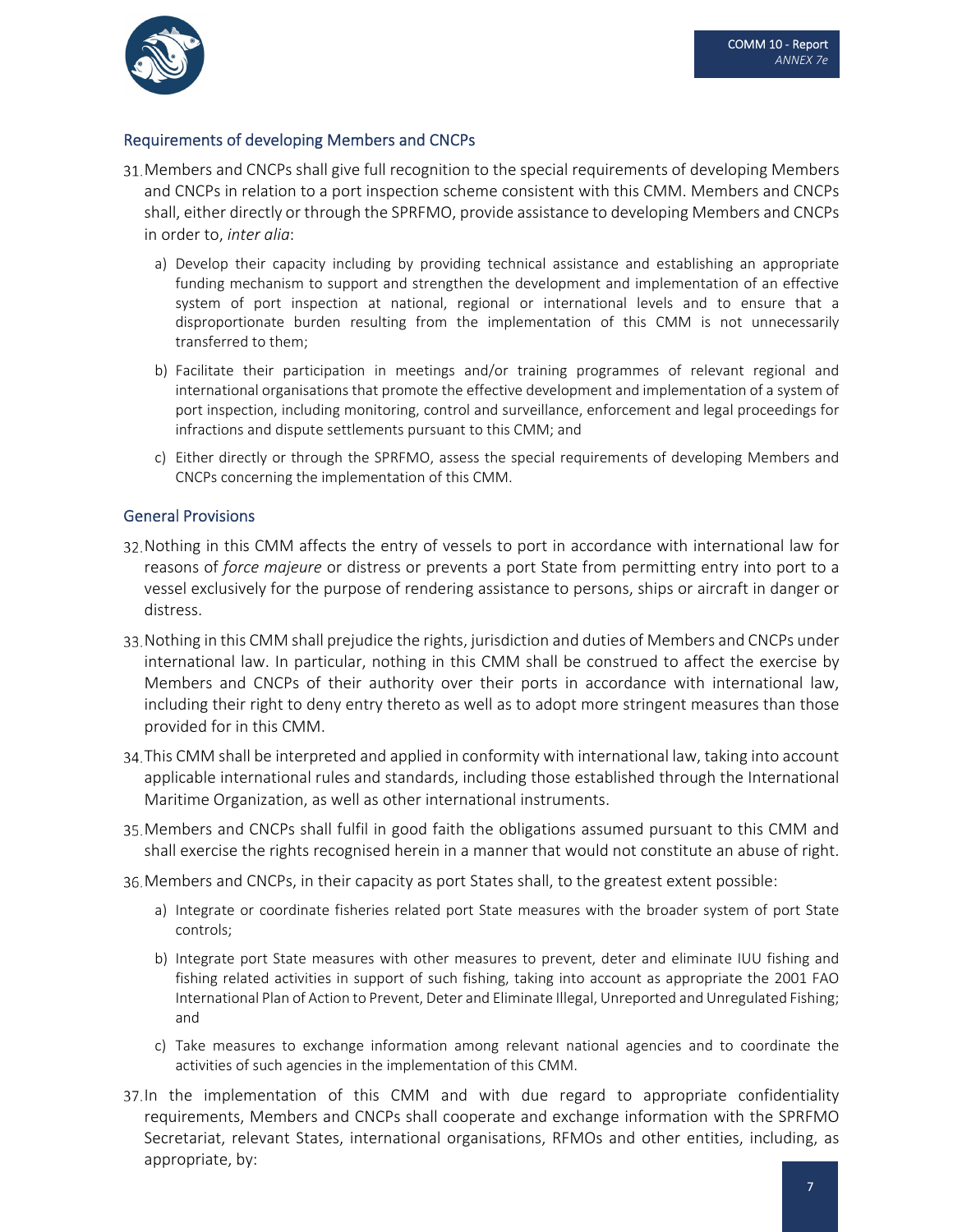

#### Requirements of developing Members and CNCPs

- 31. Members and CNCPs shall give full recognition to the special requirements of developing Members and CNCPs in relation to a port inspection scheme consistent with this CMM. Members and CNCPs shall, either directly or through the SPRFMO, provide assistance to developing Members and CNCPs in order to, *inter alia*:
	- a) Develop their capacity including by providing technical assistance and establishing an appropriate funding mechanism to support and strengthen the development and implementation of an effective system of port inspection at national, regional or international levels and to ensure that a disproportionate burden resulting from the implementation of this CMM is not unnecessarily transferred to them;
	- b) Facilitate their participation in meetings and/or training programmes of relevant regional and international organisations that promote the effective development and implementation of a system of port inspection, including monitoring, control and surveillance, enforcement and legal proceedings for infractions and dispute settlements pursuant to this CMM; and
	- c) Either directly or through the SPRFMO, assess the special requirements of developing Members and CNCPs concerning the implementation of this CMM.

#### General Provisions

- 32. Nothing in this CMM affects the entry of vessels to port in accordance with international law for reasons of *force majeure* or distress or prevents a port State from permitting entry into port to a vessel exclusively for the purpose of rendering assistance to persons, ships or aircraft in danger or distress.
- 33. Nothing in this CMM shall prejudice the rights, jurisdiction and duties of Members and CNCPs under international law. In particular, nothing in this CMM shall be construed to affect the exercise by Members and CNCPs of their authority over their ports in accordance with international law, including their right to deny entry thereto as well as to adopt more stringent measures than those provided for in this CMM.
- 34. This CMM shall be interpreted and applied in conformity with international law, taking into account applicable international rules and standards, including those established through the International Maritime Organization, as well as other international instruments.
- 35. Members and CNCPs shall fulfil in good faith the obligations assumed pursuant to this CMM and shall exercise the rights recognised herein in a manner that would not constitute an abuse of right.
- Members and CNCPs, in their capacity as port States shall, to the greatest extent possible:
	- a) Integrate or coordinate fisheries related port State measures with the broader system of port State controls;
	- b) Integrate port State measures with other measures to prevent, deter and eliminate IUU fishing and fishing related activities in support of such fishing, taking into account as appropriate the 2001 FAO International Plan of Action to Prevent, Deter and Eliminate Illegal, Unreported and Unregulated Fishing; and
	- c) Take measures to exchange information among relevant national agencies and to coordinate the activities of such agencies in the implementation of this CMM.
- 37. In the implementation of this CMM and with due regard to appropriate confidentiality requirements, Members and CNCPs shall cooperate and exchange information with the SPRFMO Secretariat, relevant States, international organisations, RFMOs and other entities, including, as appropriate, by: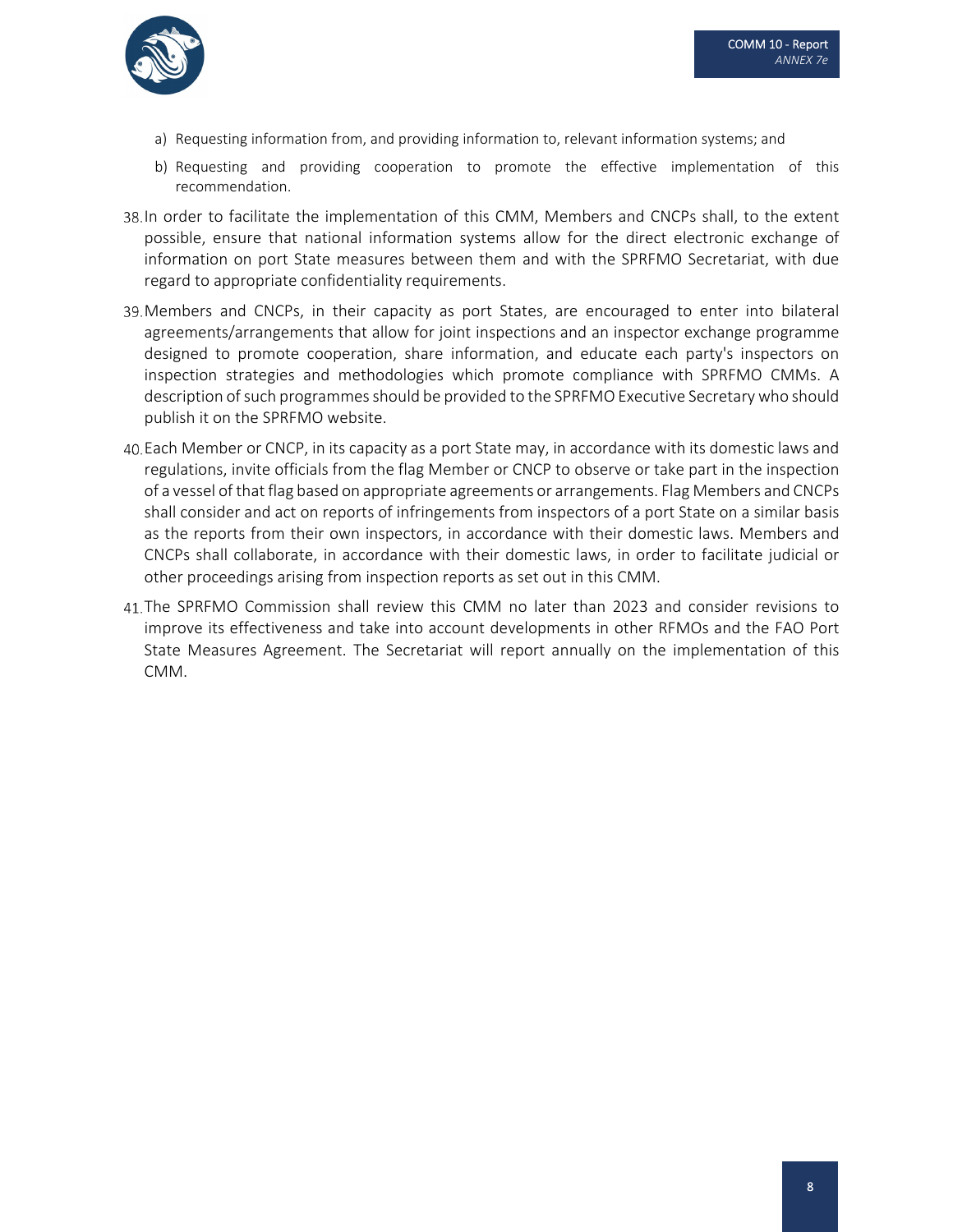

- a) Requesting information from, and providing information to, relevant information systems; and
- b) Requesting and providing cooperation to promote the effective implementation of this recommendation.
- In order to facilitate the implementation of this CMM, Members and CNCPs shall, to the extent possible, ensure that national information systems allow for the direct electronic exchange of information on port State measures between them and with the SPRFMO Secretariat, with due regard to appropriate confidentiality requirements.
- Members and CNCPs, in their capacity as port States, are encouraged to enter into bilateral agreements/arrangements that allow for joint inspections and an inspector exchange programme designed to promote cooperation, share information, and educate each party's inspectors on inspection strategies and methodologies which promote compliance with SPRFMO CMMs. A description of such programmes should be provided to the SPRFMO Executive Secretary who should publish it on the SPRFMO website.
- Each Member or CNCP, in its capacity as a port State may, in accordance with its domestic laws and regulations, invite officials from the flag Member or CNCP to observe or take part in the inspection of a vessel of that flag based on appropriate agreements or arrangements. Flag Members and CNCPs shall consider and act on reports of infringements from inspectors of a port State on a similar basis as the reports from their own inspectors, in accordance with their domestic laws. Members and CNCPs shall collaborate, in accordance with their domestic laws, in order to facilitate judicial or other proceedings arising from inspection reports as set out in this CMM.
- 41. The SPRFMO Commission shall review this CMM no later than 2023 and consider revisions to improve its effectiveness and take into account developments in other RFMOs and the FAO Port State Measures Agreement. The Secretariat will report annually on the implementation of this CMM.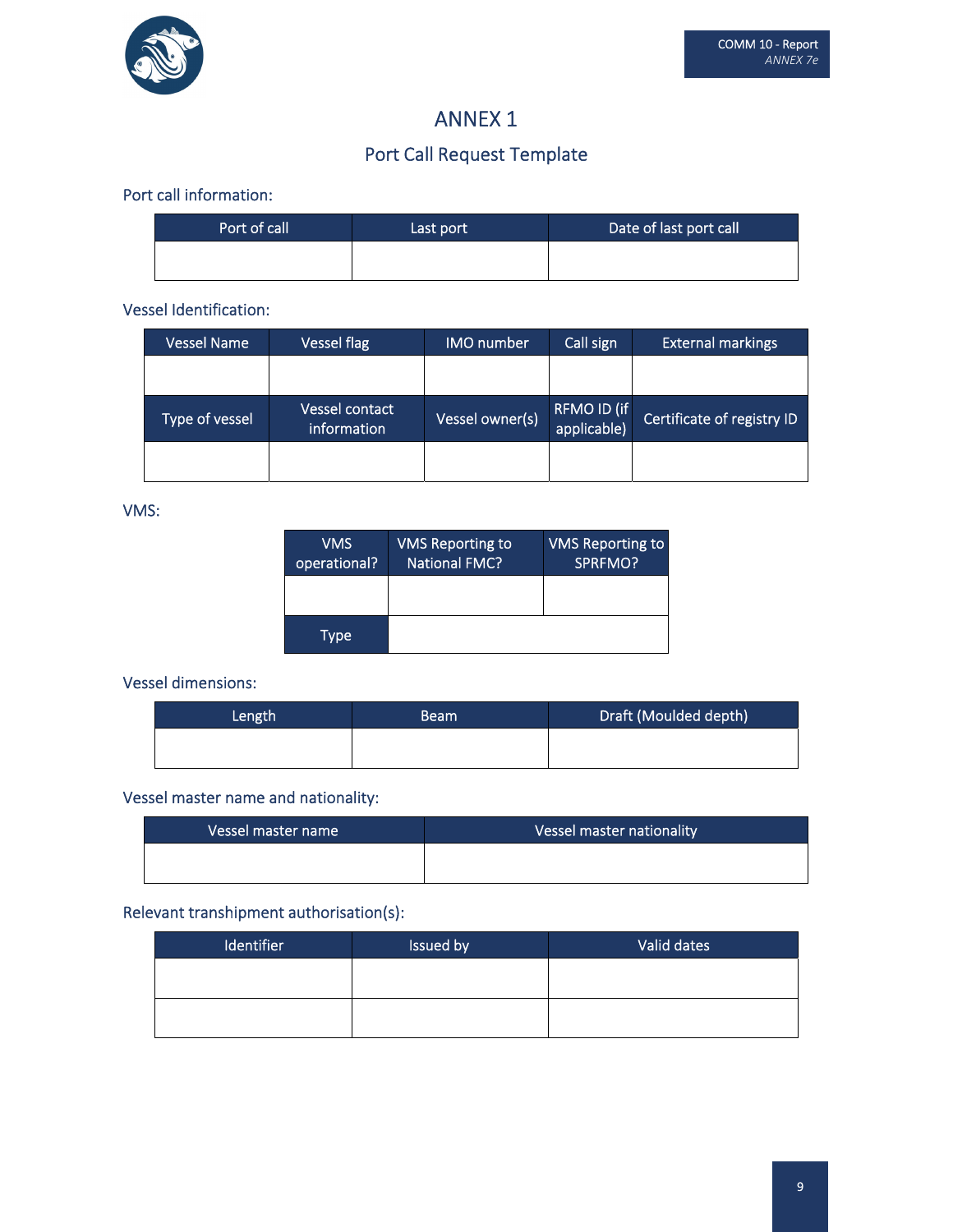

## ANNEX 1

## Port Call Request Template

#### Port call information:

| Port of call | Last port | Date of last port call |
|--------------|-----------|------------------------|
|              |           |                        |

#### Vessel Identification:

| <b>Vessel Name</b> | <b>Vessel flag</b>            | <b>IMO</b> number | Call sign                  | <b>External markings</b>   |
|--------------------|-------------------------------|-------------------|----------------------------|----------------------------|
|                    |                               |                   |                            |                            |
| Type of vessel     | Vessel contact<br>information | Vessel owner(s)   | RFMO ID (if<br>applicable) | Certificate of registry ID |
|                    |                               |                   |                            |                            |

#### VMS:

| <b>VMS</b><br>operational? | <b>VMS Reporting to</b><br><b>National FMC?</b> | <b>VMS Reporting to</b><br>SPRFMO? |
|----------------------------|-------------------------------------------------|------------------------------------|
|                            |                                                 |                                    |
| Type                       |                                                 |                                    |

### Vessel dimensions:

| Length | <b>Beam</b> | Draft (Moulded depth) |
|--------|-------------|-----------------------|
|        |             |                       |

### Vessel master name and nationality:

| Vessel master name | Vessel master nationality |
|--------------------|---------------------------|
|                    |                           |

## Relevant transhipment authorisation(s):

| <b>Identifier</b> | Issued by | Valid dates |
|-------------------|-----------|-------------|
|                   |           |             |
|                   |           |             |
|                   |           |             |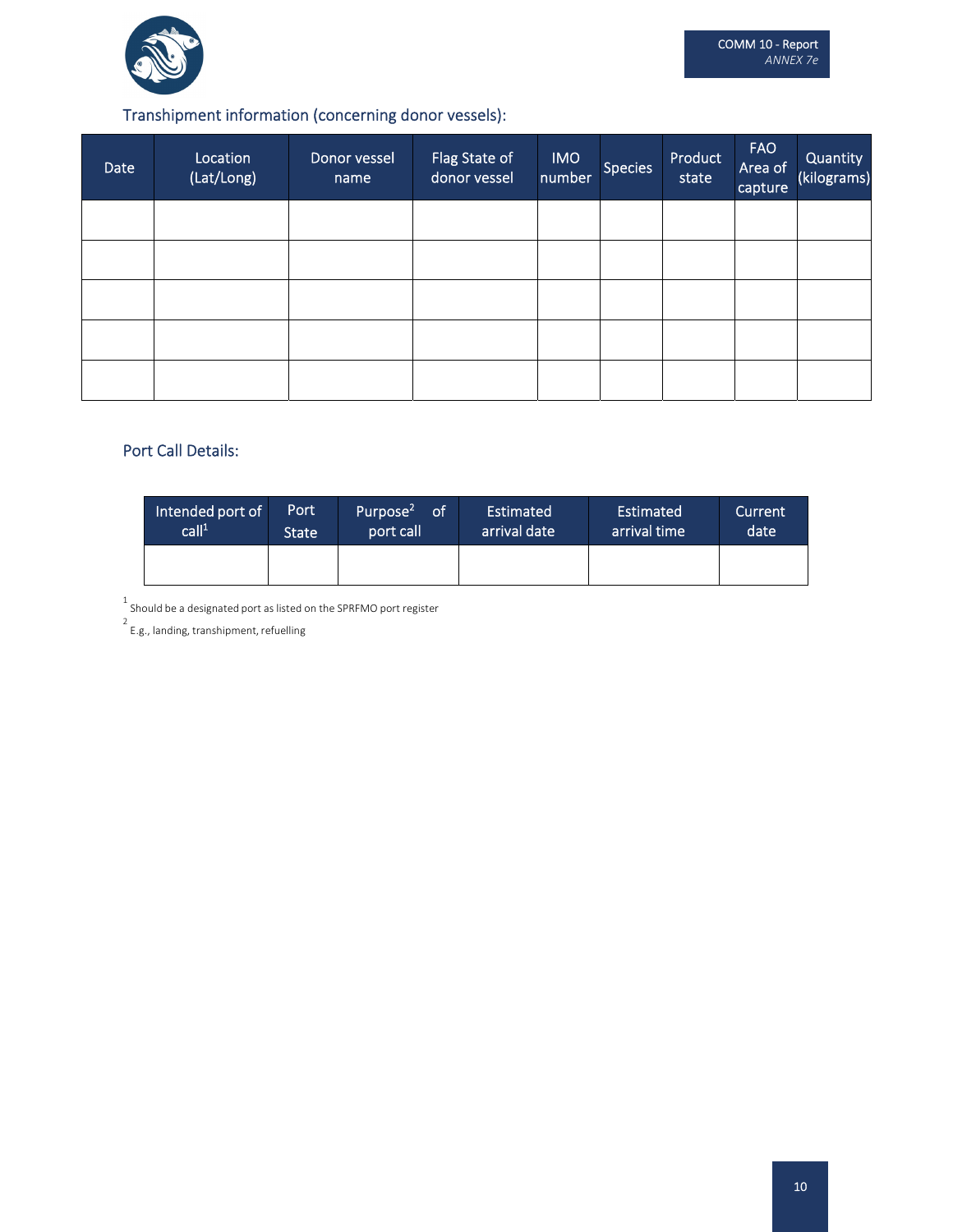

## Transhipment information (concerning donor vessels):

| Date | Location<br>(Lat/Long) | Donor vessel<br>name | Flag State of<br>donor vessel | <b>IMO</b><br>number | <b>Species</b> | Product<br>state | <b>FAO</b><br>Area of<br>capture | Quantity<br>(kilograms) |
|------|------------------------|----------------------|-------------------------------|----------------------|----------------|------------------|----------------------------------|-------------------------|
|      |                        |                      |                               |                      |                |                  |                                  |                         |
|      |                        |                      |                               |                      |                |                  |                                  |                         |
|      |                        |                      |                               |                      |                |                  |                                  |                         |
|      |                        |                      |                               |                      |                |                  |                                  |                         |
|      |                        |                      |                               |                      |                |                  |                                  |                         |

#### Port Call Details:

| Intended port of<br>call <sup>1</sup> | Port<br><b>State</b> | Purpose <sup>2</sup><br><b>of</b><br>port call | Estimated<br>arrival date | Estimated<br>arrival time | Current<br>date |
|---------------------------------------|----------------------|------------------------------------------------|---------------------------|---------------------------|-----------------|
|                                       |                      |                                                |                           |                           |                 |

1<br>Should be a designated port as listed on the SPRFMO port register<br>2 E.g., landing, transhipment, refuelling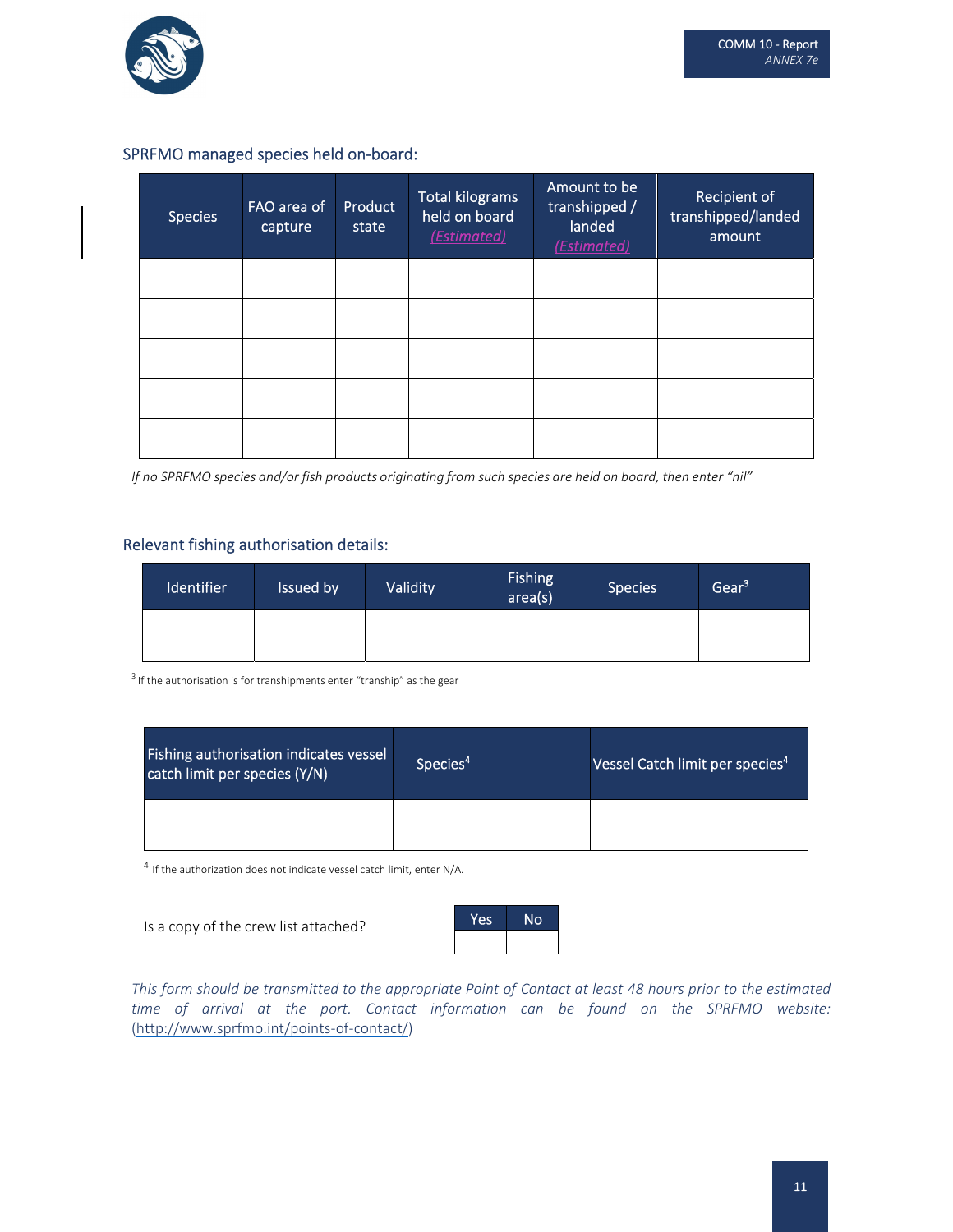

#### SPRFMO managed species held on‐board:

| <b>Species</b> | FAO area of<br>capture | Product<br>state | <b>Total kilograms</b><br>held on board<br>(Estimated) | Amount to be<br>transhipped /<br>landed<br>(Estimated) | Recipient of<br>transhipped/landed<br>amount |
|----------------|------------------------|------------------|--------------------------------------------------------|--------------------------------------------------------|----------------------------------------------|
|                |                        |                  |                                                        |                                                        |                                              |
|                |                        |                  |                                                        |                                                        |                                              |
|                |                        |                  |                                                        |                                                        |                                              |
|                |                        |                  |                                                        |                                                        |                                              |
|                |                        |                  |                                                        |                                                        |                                              |

If no SPRFMO species and/or fish products originating from such species are held on board, then enter "nil"

#### Relevant fishing authorisation details:

| <b>Identifier</b> | Issued by | Validity | <b>Fishing</b><br>area(s) | Species | Gear <sup>3</sup> |
|-------------------|-----------|----------|---------------------------|---------|-------------------|
|                   |           |          |                           |         |                   |

 $3$  If the authorisation is for transhipments enter "tranship" as the gear

| Fishing authorisation indicates vessel<br>catch limit per species (Y/N) | Species <sup>4</sup> | Vessel Catch limit per species <sup>4</sup> |
|-------------------------------------------------------------------------|----------------------|---------------------------------------------|
|                                                                         |                      |                                             |

 $^4$  If the authorization does not indicate vessel catch limit, enter N/A.

Is a copy of the crew list attached?



This form should be transmitted to the appropriate Point of Contact at least 48 hours prior to the estimated *time of arrival at the port. Contact information can be found on the SPRFMO website:* (http://www.sprfmo.int/points‐of‐contact/)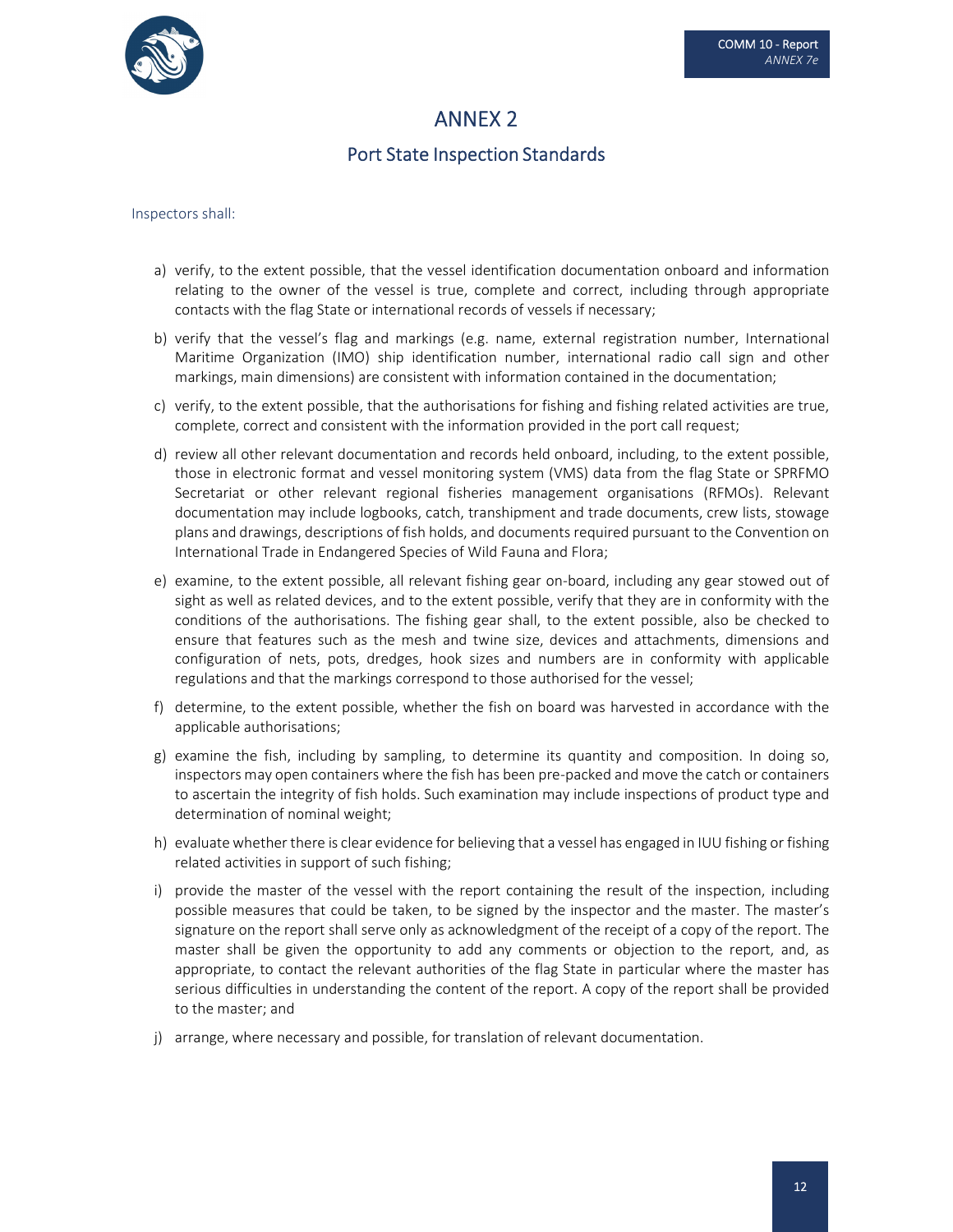

## ANNEX 2

## Port State Inspection Standards

#### Inspectors shall:

- a) verify, to the extent possible, that the vessel identification documentation onboard and information relating to the owner of the vessel is true, complete and correct, including through appropriate contacts with the flag State or international records of vessels if necessary;
- b) verify that the vessel's flag and markings (e.g. name, external registration number, International Maritime Organization (IMO) ship identification number, international radio call sign and other markings, main dimensions) are consistent with information contained in the documentation;
- c) verify, to the extent possible, that the authorisations for fishing and fishing related activities are true, complete, correct and consistent with the information provided in the port call request;
- d) review all other relevant documentation and records held onboard, including, to the extent possible, those in electronic format and vessel monitoring system (VMS) data from the flag State or SPRFMO Secretariat or other relevant regional fisheries management organisations (RFMOs). Relevant documentation may include logbooks, catch, transhipment and trade documents, crew lists, stowage plans and drawings, descriptions of fish holds, and documents required pursuant to the Convention on International Trade in Endangered Species of Wild Fauna and Flora;
- e) examine, to the extent possible, all relevant fishing gear on‐board, including any gear stowed out of sight as well as related devices, and to the extent possible, verify that they are in conformity with the conditions of the authorisations. The fishing gear shall, to the extent possible, also be checked to ensure that features such as the mesh and twine size, devices and attachments, dimensions and configuration of nets, pots, dredges, hook sizes and numbers are in conformity with applicable regulations and that the markings correspond to those authorised for the vessel;
- f) determine, to the extent possible, whether the fish on board was harvested in accordance with the applicable authorisations;
- g) examine the fish, including by sampling, to determine its quantity and composition. In doing so, inspectors may open containers where the fish has been pre‐packed and move the catch or containers to ascertain the integrity of fish holds. Such examination may include inspections of product type and determination of nominal weight;
- h) evaluate whether there is clear evidence for believing that a vessel has engaged in IUU fishing or fishing related activities in support of such fishing;
- i) provide the master of the vessel with the report containing the result of the inspection, including possible measures that could be taken, to be signed by the inspector and the master. The master's signature on the report shall serve only as acknowledgment of the receipt of a copy of the report. The master shall be given the opportunity to add any comments or objection to the report, and, as appropriate, to contact the relevant authorities of the flag State in particular where the master has serious difficulties in understanding the content of the report. A copy of the report shall be provided to the master; and
- j) arrange, where necessary and possible, for translation of relevant documentation.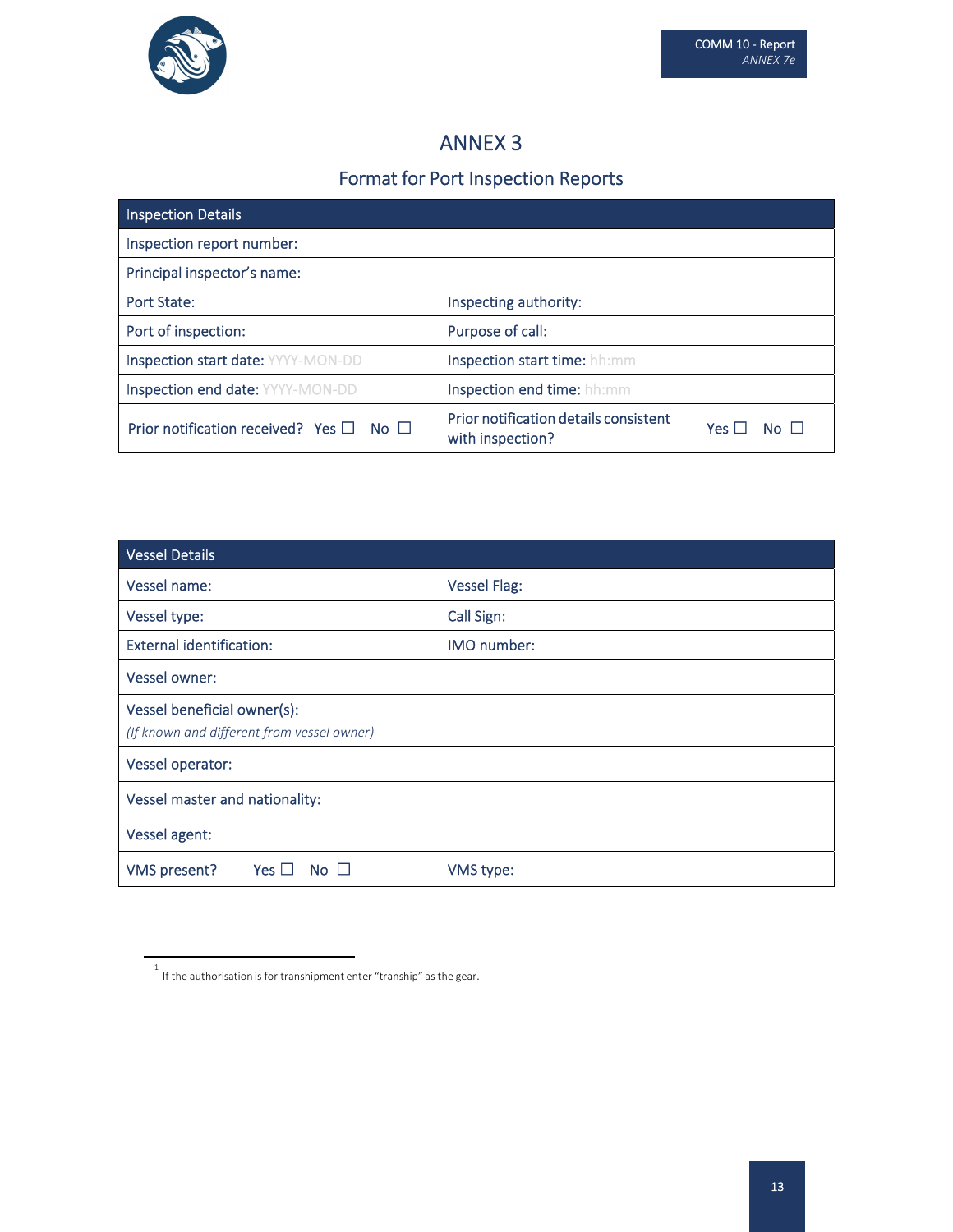

## ANNEX 3

# Format for Port Inspection Reports

| Inspection Details                                      |                                                                                           |  |  |  |  |
|---------------------------------------------------------|-------------------------------------------------------------------------------------------|--|--|--|--|
| Inspection report number:                               |                                                                                           |  |  |  |  |
| Principal inspector's name:                             |                                                                                           |  |  |  |  |
| Port State:                                             | Inspecting authority:                                                                     |  |  |  |  |
| Port of inspection:                                     | Purpose of call:                                                                          |  |  |  |  |
| Inspection start date: YYYY-MON-DD                      | Inspection start time: hh:mm                                                              |  |  |  |  |
| Inspection end date: YYYY-MON-DD                        | Inspection end time: hh:mm                                                                |  |  |  |  |
| Prior notification received? Yes $\square$ No $\square$ | Prior notification details consistent<br>Yes $\Box$<br>N <sub>0</sub><br>with inspection? |  |  |  |  |

| <b>Vessel Details</b>                          |                     |  |
|------------------------------------------------|---------------------|--|
| Vessel name:                                   | <b>Vessel Flag:</b> |  |
| Vessel type:                                   | Call Sign:          |  |
| <b>External identification:</b><br>IMO number: |                     |  |
| Vessel owner:                                  |                     |  |
| Vessel beneficial owner(s):                    |                     |  |
| (If known and different from vessel owner)     |                     |  |
| Vessel operator:                               |                     |  |
| Vessel master and nationality:                 |                     |  |
| Vessel agent:                                  |                     |  |
| Yes $\Box$<br><b>VMS</b> present?<br><b>No</b> | VMS type:           |  |

 $^{\rm 1}$  If the authorisation is for transhipment enter "tranship" as the gear.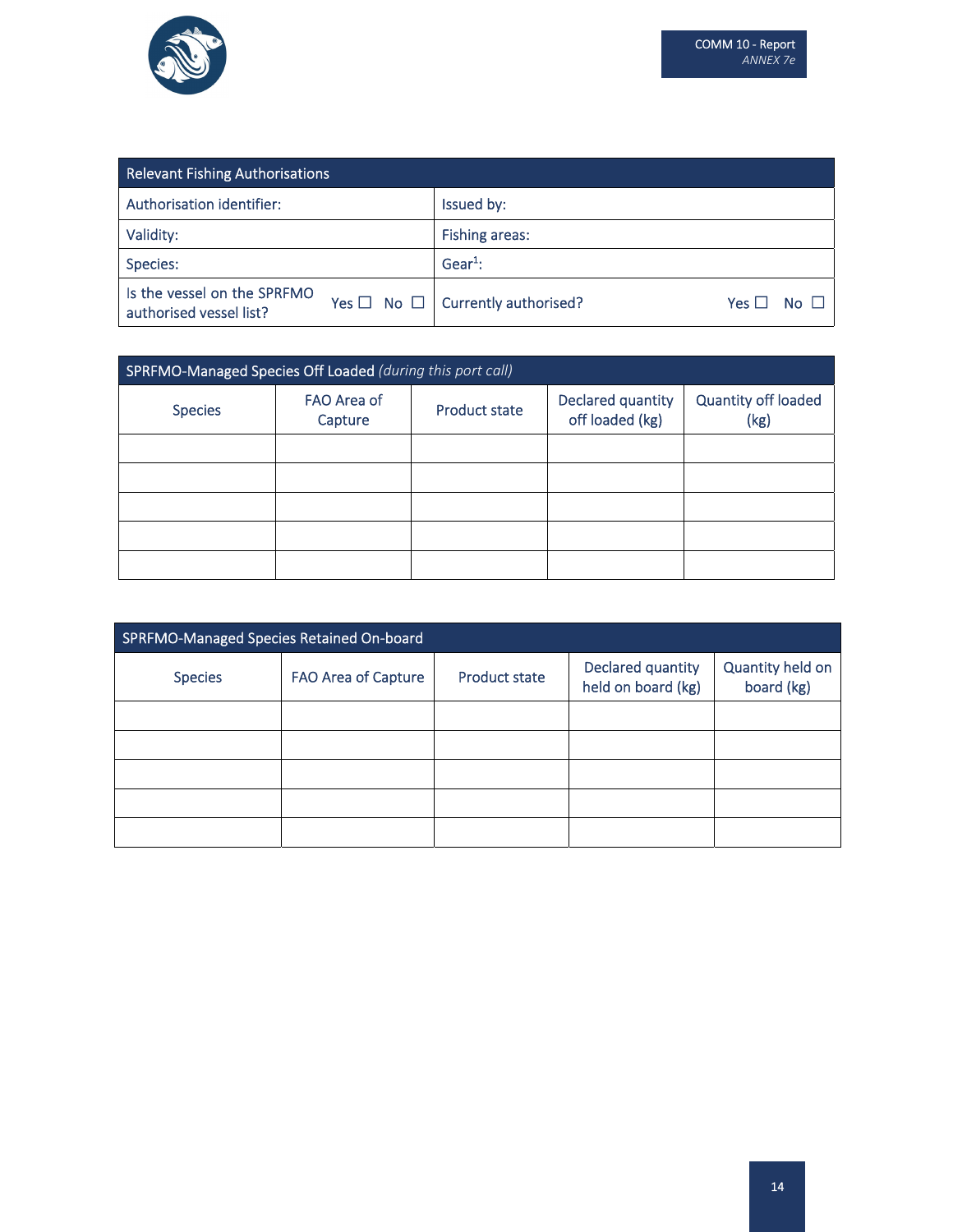

| <b>Relevant Fishing Authorisations</b>                 |                                                                     |  |  |
|--------------------------------------------------------|---------------------------------------------------------------------|--|--|
| Authorisation identifier:                              | Issued by:                                                          |  |  |
| Validity:                                              | <b>Fishing areas:</b>                                               |  |  |
| Species:                                               | $Gear1$ :                                                           |  |  |
| Is the vessel on the SPRFMO<br>authorised vessel list? | Yes $\Box$ No $\Box$ Currently authorised?<br>Yes 凵<br>$N0$ $\perp$ |  |  |

| SPRFMO-Managed Species Off Loaded (during this port call) |                        |                      |                                      |                             |
|-----------------------------------------------------------|------------------------|----------------------|--------------------------------------|-----------------------------|
| <b>Species</b>                                            | FAO Area of<br>Capture | <b>Product state</b> | Declared quantity<br>off loaded (kg) | Quantity off loaded<br>(kg) |
|                                                           |                        |                      |                                      |                             |
|                                                           |                        |                      |                                      |                             |
|                                                           |                        |                      |                                      |                             |
|                                                           |                        |                      |                                      |                             |
|                                                           |                        |                      |                                      |                             |

| SPRFMO-Managed Species Retained On-board |                            |                      |                                         |                                |
|------------------------------------------|----------------------------|----------------------|-----------------------------------------|--------------------------------|
| <b>Species</b>                           | <b>FAO Area of Capture</b> | <b>Product state</b> | Declared quantity<br>held on board (kg) | Quantity held on<br>board (kg) |
|                                          |                            |                      |                                         |                                |
|                                          |                            |                      |                                         |                                |
|                                          |                            |                      |                                         |                                |
|                                          |                            |                      |                                         |                                |
|                                          |                            |                      |                                         |                                |